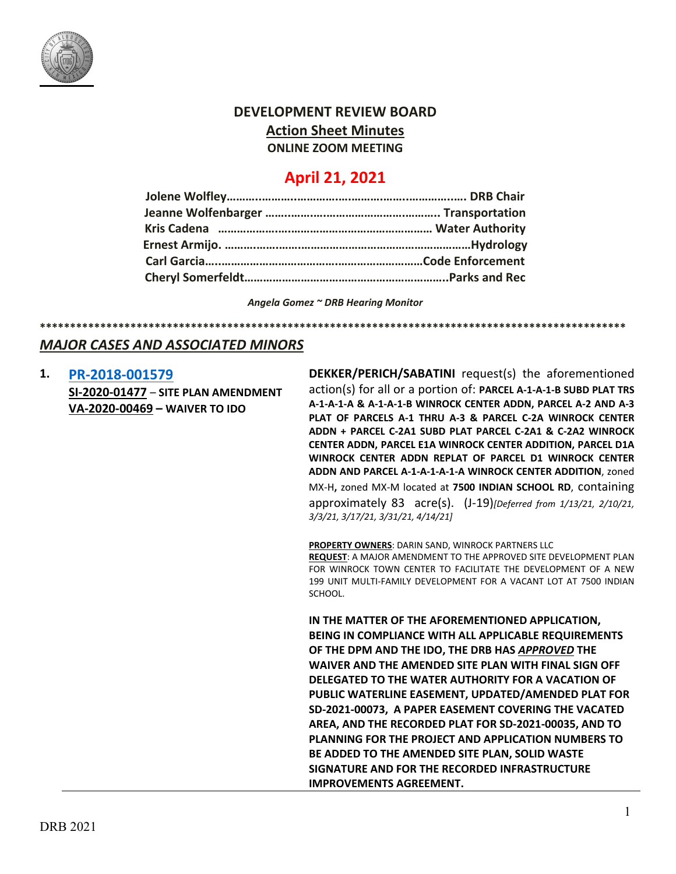

# **DEVELOPMENT REVIEW BOARD Action Sheet Minutes**

**ONLINE ZOOM MEETING**

## **April 21, 2021**

*Angela Gomez ~ DRB Hearing Monitor*

**\*\*\*\*\*\*\*\*\*\*\*\*\*\*\*\*\*\*\*\*\*\*\*\*\*\*\*\*\*\*\*\*\*\*\*\*\*\*\*\*\*\*\*\*\*\*\*\*\*\*\*\*\*\*\*\*\*\*\*\*\*\*\*\*\*\*\*\*\*\*\*\*\*\*\*\*\*\*\*\*\*\*\*\*\*\*\*\*\*\*\*\*\*\*\*\*\***

## *MAJOR CASES AND ASSOCIATED MINORS*

| 1. | PR-2018-001579                      |
|----|-------------------------------------|
|    | SI-2020-01477 - SITE PLAN AMENDMENT |
|    | VA-2020-00469 - WAIVER TO IDO       |

**DEKKER/PERICH/SABATINI** request(s) the aforementioned action(s) for all or a portion of: **PARCEL A-1-A-1-B SUBD PLAT TRS A-1-A-1-A & A-1-A-1-B WINROCK CENTER ADDN, PARCEL A-2 AND A-3 PLAT OF PARCELS A-1 THRU A-3 & PARCEL C-2A WINROCK CENTER ADDN + PARCEL C-2A1 SUBD PLAT PARCEL C-2A1 & C-2A2 WINROCK CENTER ADDN, PARCEL E1A WINROCK CENTER ADDITION, PARCEL D1A WINROCK CENTER ADDN REPLAT OF PARCEL D1 WINROCK CENTER ADDN AND PARCEL A-1-A-1-A-1-A WINROCK CENTER ADDITION**, zoned MX-H**,** zoned MX-M located at **7500 INDIAN SCHOOL RD**, containing approximately 83 acre(s). (J-19)*[Deferred from 1/13/21, 2/10/21, 3/3/21, 3/17/21, 3/31/21, 4/14/21]*

**PROPERTY OWNERS**: DARIN SAND, WINROCK PARTNERS LLC **REQUEST**: A MAJOR AMENDMENT TO THE APPROVED SITE DEVELOPMENT PLAN FOR WINROCK TOWN CENTER TO FACILITATE THE DEVELOPMENT OF A NEW 199 UNIT MULTI-FAMILY DEVELOPMENT FOR A VACANT LOT AT 7500 INDIAN SCHOOL.

**IN THE MATTER OF THE AFOREMENTIONED APPLICATION, BEING IN COMPLIANCE WITH ALL APPLICABLE REQUIREMENTS OF THE DPM AND THE IDO, THE DRB HAS** *APPROVED* **THE WAIVER AND THE AMENDED SITE PLAN WITH FINAL SIGN OFF DELEGATED TO THE WATER AUTHORITY FOR A VACATION OF PUBLIC WATERLINE EASEMENT, UPDATED/AMENDED PLAT FOR SD-2021-00073, A PAPER EASEMENT COVERING THE VACATED AREA, AND THE RECORDED PLAT FOR SD-2021-00035, AND TO PLANNING FOR THE PROJECT AND APPLICATION NUMBERS TO BE ADDED TO THE AMENDED SITE PLAN, SOLID WASTE SIGNATURE AND FOR THE RECORDED INFRASTRUCTURE IMPROVEMENTS AGREEMENT.**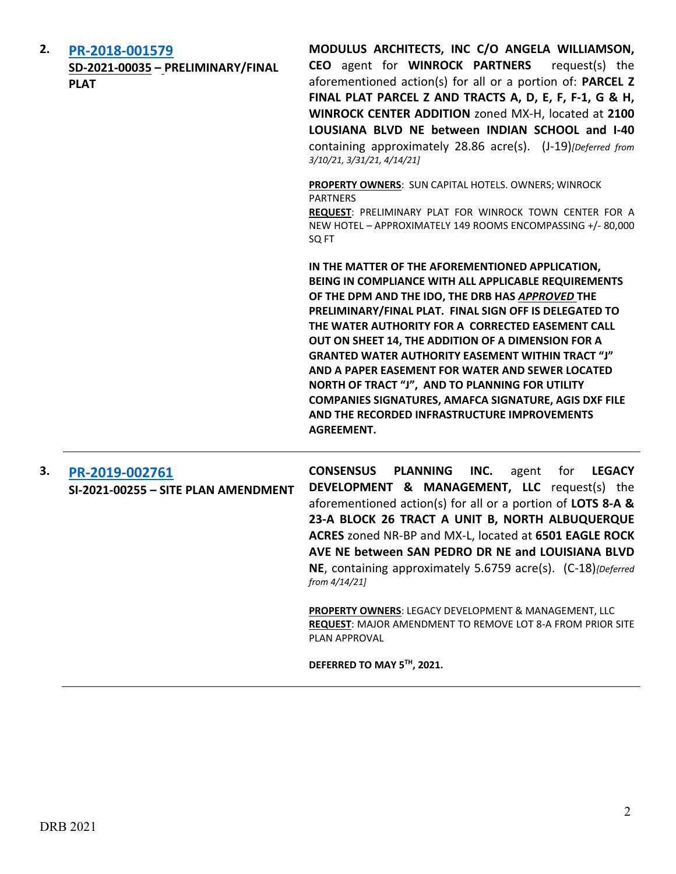| 2. | PR-2018-001579<br>SD-2021-00035 - PRELIMINARY/FINAL<br><b>PLAT</b> | MODULUS ARCHITECTS, INC C/O ANGELA WILLIAMSON,<br>CEO agent for WINROCK PARTNERS<br>request(s) the<br>aforementioned action(s) for all or a portion of: PARCEL Z<br>FINAL PLAT PARCEL Z AND TRACTS A, D, E, F, F-1, G & H,<br>WINROCK CENTER ADDITION zoned MX-H, located at 2100<br>LOUSIANA BLVD NE between INDIAN SCHOOL and I-40<br>containing approximately 28.86 acre(s). (J-19)[Deferred from<br>3/10/21, 3/31/21, 4/14/21]                                                                                                                                                                                                        |
|----|--------------------------------------------------------------------|-------------------------------------------------------------------------------------------------------------------------------------------------------------------------------------------------------------------------------------------------------------------------------------------------------------------------------------------------------------------------------------------------------------------------------------------------------------------------------------------------------------------------------------------------------------------------------------------------------------------------------------------|
|    |                                                                    | PROPERTY OWNERS: SUN CAPITAL HOTELS. OWNERS; WINROCK<br><b>PARTNERS</b><br>REQUEST: PRELIMINARY PLAT FOR WINROCK TOWN CENTER FOR A<br>NEW HOTEL - APPROXIMATELY 149 ROOMS ENCOMPASSING +/-80,000<br>SQ FT                                                                                                                                                                                                                                                                                                                                                                                                                                 |
|    |                                                                    | IN THE MATTER OF THE AFOREMENTIONED APPLICATION,<br>BEING IN COMPLIANCE WITH ALL APPLICABLE REQUIREMENTS<br>OF THE DPM AND THE IDO, THE DRB HAS APPROVED THE<br>PRELIMINARY/FINAL PLAT. FINAL SIGN OFF IS DELEGATED TO<br>THE WATER AUTHORITY FOR A CORRECTED EASEMENT CALL<br>OUT ON SHEET 14, THE ADDITION OF A DIMENSION FOR A<br><b>GRANTED WATER AUTHORITY EASEMENT WITHIN TRACT "J"</b><br>AND A PAPER EASEMENT FOR WATER AND SEWER LOCATED<br>NORTH OF TRACT "J", AND TO PLANNING FOR UTILITY<br><b>COMPANIES SIGNATURES, AMAFCA SIGNATURE, AGIS DXF FILE</b><br>AND THE RECORDED INFRASTRUCTURE IMPROVEMENTS<br><b>AGREEMENT.</b> |
| 3. | PR-2019-002761<br>SI-2021-00255 - SITE PLAN AMENDMENT              | <b>CONSENSUS</b><br><b>PLANNING</b><br>INC.<br><b>LEGACY</b><br>agent<br>for<br><b>DEVELOPMENT &amp; MANAGEMENT, LLC</b> request(s) the<br>aforementioned action(s) for all or a portion of LOTS 8-A &<br>23-A BLOCK 26 TRACT A UNIT B, NORTH ALBUQUERQUE<br>ACRES zoned NR-BP and MX-L, located at 6501 EAGLE ROCK<br>AVE NE between SAN PEDRO DR NE and LOUISIANA BLVD<br>NE, containing approximately 5.6759 acre(s). (C-18){Deferred<br>from 4/14/21]                                                                                                                                                                                 |
|    |                                                                    | <b>PROPERTY OWNERS: LEGACY DEVELOPMENT &amp; MANAGEMENT, LLC</b><br><b>REQUEST: MAJOR AMENDMENT TO REMOVE LOT 8-A FROM PRIOR SITE</b><br>PLAN APPROVAL                                                                                                                                                                                                                                                                                                                                                                                                                                                                                    |
|    |                                                                    | DEFERRED TO MAY 5TH, 2021.                                                                                                                                                                                                                                                                                                                                                                                                                                                                                                                                                                                                                |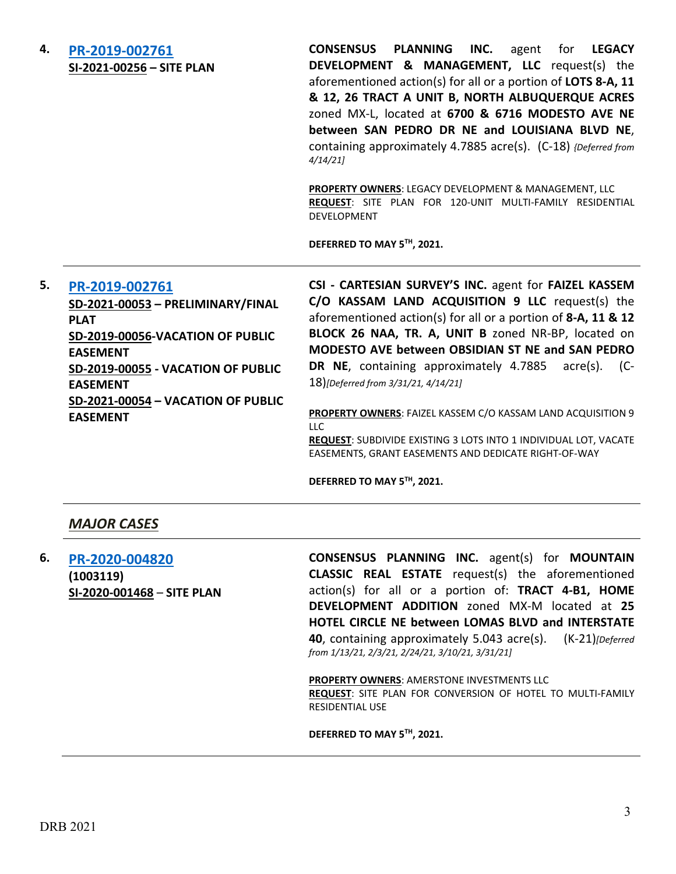| 4. | PR-2019-002761<br>SI-2021-00256 - SITE PLAN                                                                                                                                                                                                 | <b>CONSENSUS PLANNING</b><br>INC.<br><b>LEGACY</b><br>agent<br>for <b>f</b><br>DEVELOPMENT & MANAGEMENT, LLC request(s) the<br>aforementioned action(s) for all or a portion of LOTS 8-A, 11<br>& 12, 26 TRACT A UNIT B, NORTH ALBUQUERQUE ACRES<br>zoned MX-L, located at 6700 & 6716 MODESTO AVE NE<br>between SAN PEDRO DR NE and LOUISIANA BLVD NE,<br>containing approximately 4.7885 acre(s). (C-18) {Deferred from<br>4/14/21<br>PROPERTY OWNERS: LEGACY DEVELOPMENT & MANAGEMENT, LLC<br>REQUEST: SITE PLAN FOR 120-UNIT MULTI-FAMILY RESIDENTIAL<br>DEVELOPMENT<br>DEFERRED TO MAY 5TH, 2021. |
|----|---------------------------------------------------------------------------------------------------------------------------------------------------------------------------------------------------------------------------------------------|--------------------------------------------------------------------------------------------------------------------------------------------------------------------------------------------------------------------------------------------------------------------------------------------------------------------------------------------------------------------------------------------------------------------------------------------------------------------------------------------------------------------------------------------------------------------------------------------------------|
| 5. | PR-2019-002761<br>SD-2021-00053 - PRELIMINARY/FINAL<br><b>PLAT</b><br>SD-2019-00056-VACATION OF PUBLIC<br><b>EASEMENT</b><br>SD-2019-00055 - VACATION OF PUBLIC<br><b>EASEMENT</b><br>SD-2021-00054 - VACATION OF PUBLIC<br><b>EASEMENT</b> | CSI - CARTESIAN SURVEY'S INC. agent for FAIZEL KASSEM<br>C/O KASSAM LAND ACQUISITION 9 LLC request(s) the<br>aforementioned action(s) for all or a portion of 8-A, 11 & 12<br>BLOCK 26 NAA, TR. A, UNIT B zoned NR-BP, located on<br>MODESTO AVE between OBSIDIAN ST NE and SAN PEDRO<br>DR NE, containing approximately 4.7885 acre(s).<br>$(C-$<br>18)[Deferred from 3/31/21, 4/14/21]<br>PROPERTY OWNERS: FAIZEL KASSEM C/O KASSAM LAND ACQUISITION 9                                                                                                                                               |
|    |                                                                                                                                                                                                                                             | LLC<br><b>REQUEST:</b> SURDIVIDE EXISTING 3 LOTS INTO 1 INDIVIDUAL LOT VACATE                                                                                                                                                                                                                                                                                                                                                                                                                                                                                                                          |

**REQUEST**: SUBDIVIDE EXISTING 3 LOTS INTO 1 INDIVIDUAL LOT, VACATE EASEMENTS, GRANT EASEMENTS AND DEDICATE RIGHT-OF-WAY

**DEFERRED TO MAY 5TH, 2021.**

### *MAJOR CASES*

**6. [PR-2020-004820](http://data.cabq.gov/government/planning/DRB/PR-2020-004820/DRB%20Submittals/PR-2020-004820_Apr_21_2021_supp/PR-2020-004820%20Supplemental%20DRB%20Submittal%204-15-21.pdf) (1003119) SI-2020-001468** – **SITE PLAN**

**CONSENSUS PLANNING INC.** agent(s) for **MOUNTAIN CLASSIC REAL ESTATE** request(s) the aforementioned action(s) for all or a portion of: **TRACT 4-B1, HOME DEVELOPMENT ADDITION** zoned MX-M located at **25 HOTEL CIRCLE NE between LOMAS BLVD and INTERSTATE 40**, containing approximately 5.043 acre(s). (K-21)*[Deferred from 1/13/21, 2/3/21, 2/24/21, 3/10/21, 3/31/21]*

**PROPERTY OWNERS**: AMERSTONE INVESTMENTS LLC **REQUEST**: SITE PLAN FOR CONVERSION OF HOTEL TO MULTI-FAMILY RESIDENTIAL USE

**DEFERRED TO MAY 5TH, 2021.**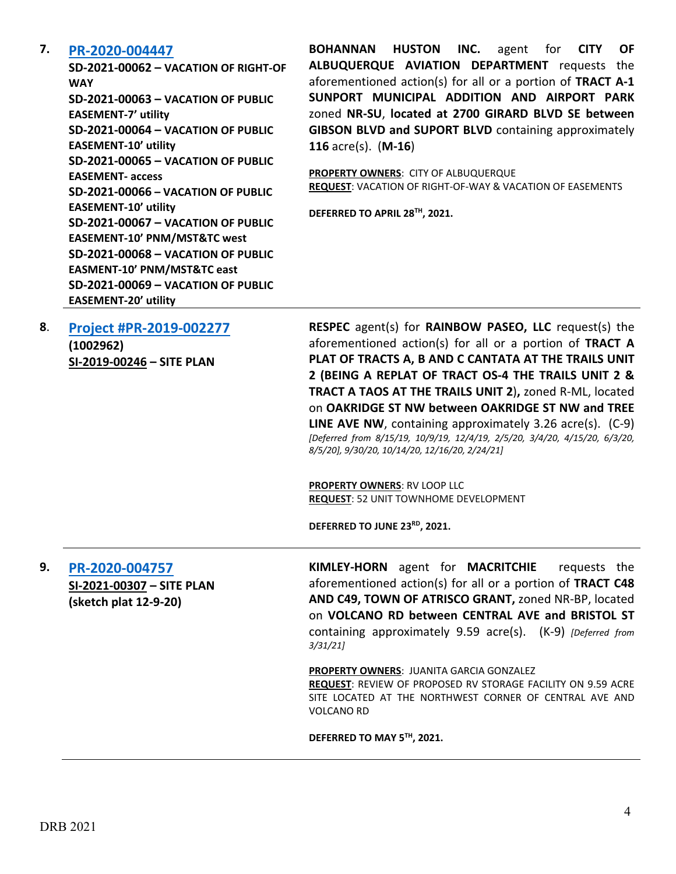#### **7. [PR-2020-004447](http://data.cabq.gov/government/planning/DRB/PR-2020-004447/DRB%20Submittals/PR-2020-004447_April_21,%202021/Application/Vacation%20submittal%20package_3.26.21.pdf)**

**SD-2021-00062 – VACATION OF RIGHT-OF WAY SD-2021-00063 – VACATION OF PUBLIC EASEMENT-7' utility SD-2021-00064 – VACATION OF PUBLIC EASEMENT-10' utility SD-2021-00065 – VACATION OF PUBLIC EASEMENT- access SD-2021-00066 – VACATION OF PUBLIC EASEMENT-10' utility SD-2021-00067 – VACATION OF PUBLIC EASEMENT-10' PNM/MST&TC west SD-2021-00068 – VACATION OF PUBLIC EASMENT-10' PNM/MST&TC east SD-2021-00069 – VACATION OF PUBLIC EASEMENT-20' utility**

**BOHANNAN HUSTON INC.** agent for **CITY OF ALBUQUERQUE AVIATION DEPARTMENT** requests the aforementioned action(s) for all or a portion of **TRACT A-1 SUNPORT MUNICIPAL ADDITION AND AIRPORT PARK** zoned **NR-SU**, **located at 2700 GIRARD BLVD SE between GIBSON BLVD and SUPORT BLVD** containing approximately **116** acre(s). (**M-16**)

**PROPERTY OWNERS**: CITY OF ALBUQUERQUE **REQUEST**: VACATION OF RIGHT-OF-WAY & VACATION OF EASEMENTS

**DEFERRED TO APRIL 28TH, 2021.**

| 8 | Project #PR-2019-002277 |  |
|---|-------------------------|--|
|   | (1002962)               |  |

| ,------- <i>,</i>         |  |
|---------------------------|--|
| SI-2019-00246 – SITE PLAN |  |

**RESPEC** agent(s) for **RAINBOW PASEO, LLC** request(s) the aforementioned action(s) for all or a portion of **TRACT A PLAT OF TRACTS A, B AND C CANTATA AT THE TRAILS UNIT 2 (BEING A REPLAT OF TRACT OS-4 THE TRAILS UNIT 2 & TRACT A TAOS AT THE TRAILS UNIT 2**)**,** zoned R-ML, located on **OAKRIDGE ST NW between OAKRIDGE ST NW and TREE LINE AVE NW**, containing approximately 3.26 acre(s). (C-9) *[Deferred from 8/15/19, 10/9/19, 12/4/19, 2/5/20, 3/4/20, 4/15/20, 6/3/20, 8/5/20], 9/30/20, 10/14/20, 12/16/20, 2/24/21]*

**PROPERTY OWNERS**: RV LOOP LLC **REQUEST**: 52 UNIT TOWNHOME DEVELOPMENT

**DEFERRED TO JUNE 23RD, 2021.**

**9. [PR-2020-004757](http://data.cabq.gov/government/planning/DRB/PR-2020-004757/DRB%20Submittals/PR-2020-004757_Apr_21_2021_supp/DRB%20Site%20Plan%20Submission.pdf) SI-2021-00307 – SITE PLAN (sketch plat 12-9-20)**

**KIMLEY-HORN** agent for **MACRITCHIE** requests the aforementioned action(s) for all or a portion of **TRACT C48 AND C49, TOWN OF ATRISCO GRANT,** zoned NR-BP, located on **VOLCANO RD between CENTRAL AVE and BRISTOL ST** containing approximately 9.59 acre(s). (K-9) *[Deferred from 3/31/21]*

**PROPERTY OWNERS**: JUANITA GARCIA GONZALEZ

**REQUEST**: REVIEW OF PROPOSED RV STORAGE FACILITY ON 9.59 ACRE SITE LOCATED AT THE NORTHWEST CORNER OF CENTRAL AVE AND VOLCANO RD

**DEFERRED TO MAY 5TH, 2021.**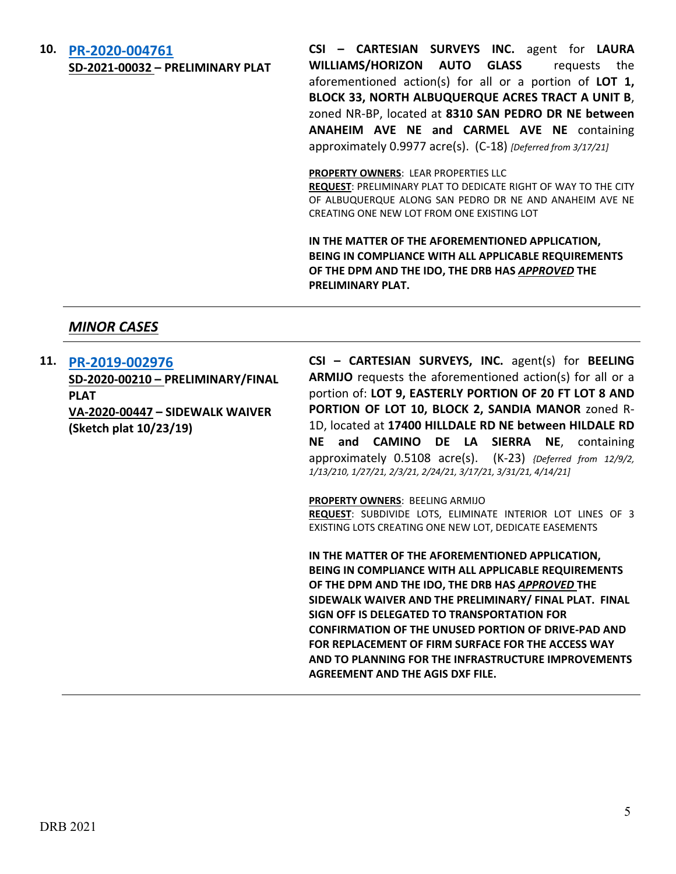#### **10. [PR-2020-004761](http://data.cabq.gov/government/planning/DRB/PR-2020-004761/DRB%20Submittals/PR-2020-004761_April_21_2021_Supp/Application/PR-2020-004761_DRB%20Supp_form_REV.pdf)**

**SD-2021-00032 – PRELIMINARY PLAT**

**CSI – CARTESIAN SURVEYS INC.** agent for **LAURA WILLIAMS/HORIZON AUTO GLASS** requests the aforementioned action(s) for all or a portion of **LOT 1, BLOCK 33, NORTH ALBUQUERQUE ACRES TRACT A UNIT B**, zoned NR-BP, located at **8310 SAN PEDRO DR NE between ANAHEIM AVE NE and CARMEL AVE NE** containing approximately 0.9977 acre(s). (C-18) *[Deferred from 3/17/21]*

#### **PROPERTY OWNERS**: LEAR PROPERTIES LLC

**REQUEST**: PRELIMINARY PLAT TO DEDICATE RIGHT OF WAY TO THE CITY OF ALBUQUERQUE ALONG SAN PEDRO DR NE AND ANAHEIM AVE NE CREATING ONE NEW LOT FROM ONE EXISTING LOT

**IN THE MATTER OF THE AFOREMENTIONED APPLICATION, BEING IN COMPLIANCE WITH ALL APPLICABLE REQUIREMENTS OF THE DPM AND THE IDO, THE DRB HAS** *APPROVED* **THE PRELIMINARY PLAT.**

### *MINOR CASES*

**11. [PR-2019-002976](http://data.cabq.gov/government/planning/DRB/PR-2019-002976/DRB%20Submittals/PR-2019-002979_April_21_2021_Supp/Application/PR-2019-002976_Supp.pdf)**

**SD-2020-00210 – PRELIMINARY/FINAL PLAT VA-2020-00447 – SIDEWALK WAIVER (Sketch plat 10/23/19)**

**CSI – CARTESIAN SURVEYS, INC.** agent(s) for **BEELING ARMIJO** requests the aforementioned action(s) for all or a portion of: **LOT 9, EASTERLY PORTION OF 20 FT LOT 8 AND PORTION OF LOT 10, BLOCK 2, SANDIA MANOR** zoned R-1D, located at **17400 HILLDALE RD NE between HILDALE RD NE and CAMINO DE LA SIERRA NE**, containing approximately 0.5108 acre(s). (K-23) *{Deferred from 12/9/2, 1/13/210, 1/27/21, 2/3/21, 2/24/21, 3/17/21, 3/31/21, 4/14/21]*

#### **PROPERTY OWNERS**: BEELING ARMIJO

**REQUEST**: SUBDIVIDE LOTS, ELIMINATE INTERIOR LOT LINES OF 3 EXISTING LOTS CREATING ONE NEW LOT, DEDICATE EASEMENTS

**IN THE MATTER OF THE AFOREMENTIONED APPLICATION, BEING IN COMPLIANCE WITH ALL APPLICABLE REQUIREMENTS OF THE DPM AND THE IDO, THE DRB HAS** *APPROVED* **THE SIDEWALK WAIVER AND THE PRELIMINARY/ FINAL PLAT. FINAL SIGN OFF IS DELEGATED TO TRANSPORTATION FOR CONFIRMATION OF THE UNUSED PORTION OF DRIVE-PAD AND FOR REPLACEMENT OF FIRM SURFACE FOR THE ACCESS WAY AND TO PLANNING FOR THE INFRASTRUCTURE IMPROVEMENTS AGREEMENT AND THE AGIS DXF FILE.**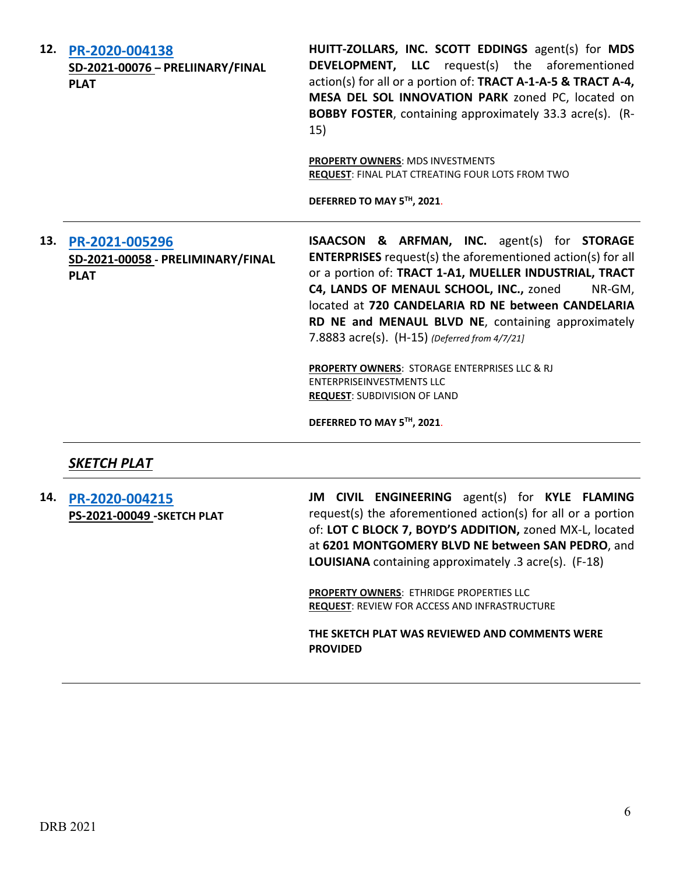**12. [PR-2020-004138](http://data.cabq.gov/government/planning/DRB/PR-2020-004138/DRB%20Submittals/PR-2020-004138_April_21_2021%20(P&F)/Application/Final%20Plat%20Submittal%20SD-2020-00225%20(2).pdf) SD-2021-00076 – PRELIINARY/FINAL PLAT HUITT-ZOLLARS, INC. SCOTT EDDINGS** agent(s) for **MDS DEVELOPMENT, LLC** request(s) the aforementioned action(s) for all or a portion of: **TRACT A-1-A-5 & TRACT A-4, MESA DEL SOL INNOVATION PARK** zoned PC, located on **BOBBY FOSTER**, containing approximately 33.3 acre(s). (R-15) **PROPERTY OWNERS**: MDS INVESTMENTS **REQUEST**: FINAL PLAT CTREATING FOUR LOTS FROM TWO **DEFERRED TO MAY 5TH, 2021**. **13. [PR-2021-005296](http://data.cabq.gov/government/planning/DRB/PR-2021-005296/DRB%20Submittals/) SD-2021-00058 - PRELIMINARY/FINAL PLAT ISAACSON & ARFMAN, INC.** agent(s) for **STORAGE ENTERPRISES** request(s) the aforementioned action(s) for all or a portion of: **TRACT 1-A1, MUELLER INDUSTRIAL, TRACT C4, LANDS OF MENAUL SCHOOL, INC.,** zoned NR-GM, located at **720 CANDELARIA RD NE between CANDELARIA RD NE and MENAUL BLVD NE**, containing approximately 7.8883 acre(s). (H-15) *(Deferred from 4/7/21]* **PROPERTY OWNERS**: STORAGE ENTERPRISES LLC & RJ ENTERPRISEINVESTMENTS LLC **REQUEST**: SUBDIVISION OF LAND

**DEFERRED TO MAY 5TH, 2021**.

*SKETCH PLAT*

**14. [PR-2020-004215](http://data.cabq.gov/government/planning/DRB/PR-2020-004215/DRB%20Submittals/PR-2020-004215_April_21_2021/Application/Sketch%20Plat%20Review%20Application.pdf) PS-2021-00049 -SKETCH PLAT** **JM CIVIL ENGINEERING** agent(s) for **KYLE FLAMING** request(s) the aforementioned action(s) for all or a portion of: **LOT C BLOCK 7, BOYD'S ADDITION,** zoned MX-L, located at **6201 MONTGOMERY BLVD NE between SAN PEDRO**, and **LOUISIANA** containing approximately .3 acre(s). (F-18)

**PROPERTY OWNERS**: ETHRIDGE PROPERTIES LLC **REQUEST**: REVIEW FOR ACCESS AND INFRASTRUCTURE

**THE SKETCH PLAT WAS REVIEWED AND COMMENTS WERE PROVIDED**